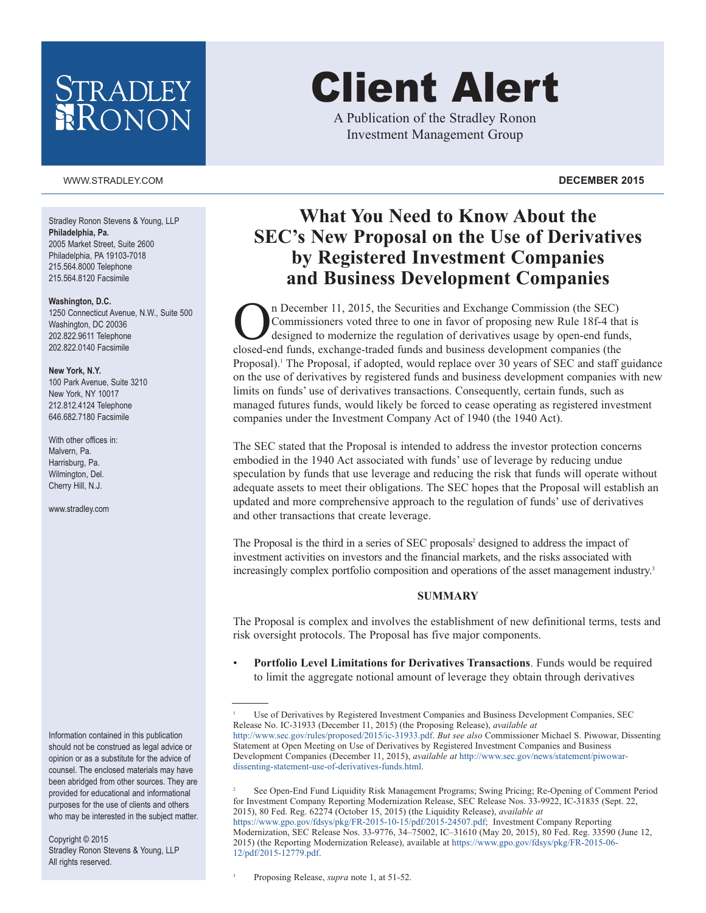## *RADLEY* RONON

#### WWW.STRADLEY.COM **DECEMBER 2015**

Stradley Ronon Stevens & Young, LLP **Philadelphia, Pa.** 2005 Market Street, Suite 2600 Philadelphia, PA 19103-7018 215.564.8000 Telephone 215.564.8120 Facsimile

#### **Washington, D.C.**

1250 Connecticut Avenue, N.W., Suite 500 Washington, DC 20036 202.822.9611 Telephone 202.822.0140 Facsimile

#### **New York, N.Y.**

100 Park Avenue, Suite 3210 New York, NY 10017 212.812.4124 Telephone 646.682.7180 Facsimile

With other offices in: Malvern, Pa. Harrisburg, Pa. Wilmington, Del. Cherry Hill, N.J.

www.stradley.com

Information contained in this publication should not be construed as legal advice or opinion or as a substitute for the advice of counsel. The enclosed materials may have been abridged from other sources. They are provided for educational and informational purposes for the use of clients and others who may be interested in the subject matter.

Copyright © 2015 Stradley Ronon Stevens & Young, LLP All rights reserved.

# Client Alert

A Publication of the Stradley Ronon Investment Management Group

### **What You Need to Know About the SEC's New Proposal on the Use of Derivatives by Registered Investment Companies and Business Development Companies**

n December 11, 2015, the Securities and Exchange Commission (the SEC) Commissioners voted three to one in favor of proposing new Rule 18f-4 that is designed to modernize the regulation of derivatives usage by open-end funds, closed-end funds, exchange-traded funds and business development companies (the Proposal). <sup>1</sup> The Proposal, if adopted, would replace over 30 years of SEC and staff guidance on the use of derivatives by registered funds and business development companies with new limits on funds' use of derivatives transactions. Consequently, certain funds, such as managed futures funds, would likely be forced to cease operating as registered investment companies under the Investment Company Act of 1940 (the 1940 Act).

The SEC stated that the Proposal is intended to address the investor protection concerns embodied in the 1940 Act associated with funds' use of leverage by reducing undue speculation by funds that use leverage and reducing the risk that funds will operate without adequate assets to meet their obligations. The SEC hopes that the Proposal will establish an updated and more comprehensive approach to the regulation of funds' use of derivatives and other transactions that create leverage.

The Proposal is the third in a series of SEC proposals<sup>2</sup> designed to address the impact of investment activities on investors and the financial markets, and the risks associated with increasingly complex portfolio composition and operations of the asset management industry. 3

#### **SUMMARY**

The Proposal is complex and involves the establishment of new definitional terms, tests and risk oversight protocols. The Proposal has five major components.

• **Portfolio Level Limitations for Derivatives Transactions**. Funds would be required to limit the aggregate notional amount of leverage they obtain through derivatives

 See Open-End Fund Liquidity Risk Management Programs; Swing Pricing; Re-Opening of Comment Period for Investment Company Reporting Modernization Release, SEC Release Nos. 33-9922, IC-31835 (Sept. 22, 2015), 80 Fed. Reg. 62274 (October 15, 2015) (the Liquidity Release), *available at* [https://www.gpo.gov/fdsys/pkg/FR-2015-10-15/pdf/2015-24507.pdf;](https://www.gpo.gov/fdsys/pkg/FR-2015-10-15/pdf/2015-24507.pdf) Investment Company Reporting Modernization, SEC Release Nos. 33-9776, 34–75002, IC–31610 (May 20, 2015), 80 Fed. Reg. 33590 (June 12, 2015) (the Reporting Modernization Release), available at [https://www.gpo.gov/fdsys/pkg/FR-2015-06-](https://www.gpo.gov/fdsys/pkg/FR-2015-06-12/pdf/2015-12779.pdf) [12/pdf/2015-12779.pdf.](https://www.gpo.gov/fdsys/pkg/FR-2015-06-12/pdf/2015-12779.pdf)

3

<sup>1</sup> Use of Derivatives by Registered Investment Companies and Business Development Companies, SEC Release No. IC-31933 (December 11, 2015) (the Proposing Release), *available at* [http://www.sec.gov/rules/proposed/2015/ic-31933.pdf.](http://www.sec.gov/rules/proposed/2015/ic-31933.pdf) *But see also* Commissioner Michael S. Piwowar, Dissenting Statement at Open Meeting on Use of Derivatives by Registered Investment Companies and Business Development Companies (December 11, 2015), *available at* [http://www.sec.gov/news/statement/piwowar](http://www.sec.gov/news/statement/piwowar-dissenting-statement-use-of-derivatives-funds.html)[dissenting-statement-use-of-derivatives-funds.html.](http://www.sec.gov/news/statement/piwowar-dissenting-statement-use-of-derivatives-funds.html)

Proposing Release, *supra* note 1, at 51-52.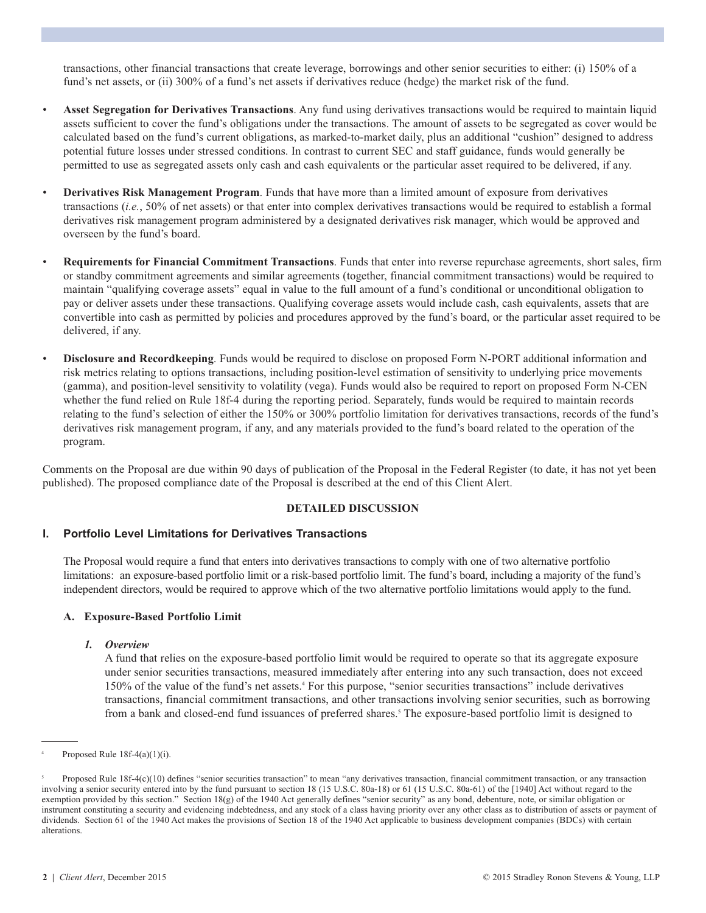transactions, other financial transactions that create leverage, borrowings and other senior securities to either: (i) 150% of a fund's net assets, or (ii) 300% of a fund's net assets if derivatives reduce (hedge) the market risk of the fund.

- **Asset Segregation for Derivatives Transactions**. Any fund using derivatives transactions would be required to maintain liquid assets sufficient to cover the fund's obligations under the transactions. The amount of assets to be segregated as cover would be calculated based on the fund's current obligations, as marked-to-market daily, plus an additional "cushion" designed to address potential future losses under stressed conditions. In contrast to current SEC and staff guidance, funds would generally be permitted to use as segregated assets only cash and cash equivalents or the particular asset required to be delivered, if any.
- **Derivatives Risk Management Program**. Funds that have more than a limited amount of exposure from derivatives transactions (*i.e.*, 50% of net assets) or that enter into complex derivatives transactions would be required to establish a formal derivatives risk management program administered by a designated derivatives risk manager, which would be approved and overseen by the fund's board.
- **Requirements for Financial Commitment Transactions**. Funds that enter into reverse repurchase agreements, short sales, firm or standby commitment agreements and similar agreements (together, financial commitment transactions) would be required to maintain "qualifying coverage assets" equal in value to the full amount of a fund's conditional or unconditional obligation to pay or deliver assets under these transactions. Qualifying coverage assets would include cash, cash equivalents, assets that are convertible into cash as permitted by policies and procedures approved by the fund's board, or the particular asset required to be delivered, if any.
- **Disclosure and Recordkeeping**. Funds would be required to disclose on proposed Form N-PORT additional information and risk metrics relating to options transactions, including position-level estimation of sensitivity to underlying price movements (gamma), and position-level sensitivity to volatility (vega). Funds would also be required to report on proposed Form N-CEN whether the fund relied on Rule 18f-4 during the reporting period. Separately, funds would be required to maintain records relating to the fund's selection of either the 150% or 300% portfolio limitation for derivatives transactions, records of the fund's derivatives risk management program, if any, and any materials provided to the fund's board related to the operation of the program.

Comments on the Proposal are due within 90 days of publication of the Proposal in the Federal Register (to date, it has not yet been published). The proposed compliance date of the Proposal is described at the end of this Client Alert.

#### **DETAILED DISCUSSION**

#### **I. Portfolio Level Limitations for Derivatives Transactions**

 The Proposal would require a fund that enters into derivatives transactions to comply with one of two alternative portfolio limitations: an exposure-based portfolio limit or a risk-based portfolio limit. The fund's board, including a majority of the fund's independent directors, would be required to approve which of the two alternative portfolio limitations would apply to the fund.

#### **A. Exposure-Based Portfolio Limit**

#### *1. Overview*

 A fund that relies on the exposure-based portfolio limit would be required to operate so that its aggregate exposure under senior securities transactions, measured immediately after entering into any such transaction, does not exceed 150% of the value of the fund's net assets. <sup>4</sup> For this purpose, "senior securities transactions" include derivatives transactions, financial commitment transactions, and other transactions involving senior securities, such as borrowing from a bank and closed-end fund issuances of preferred shares. <sup>5</sup> The exposure-based portfolio limit is designed to

Proposed Rule  $18f-4(a)(1)(i)$ .

<sup>5</sup> Proposed Rule 18f-4(c)(10) defines "senior securities transaction" to mean "any derivatives transaction, financial commitment transaction, or any transaction involving a senior security entered into by the fund pursuant to section 18 (15 U.S.C. 80a-18) or 61 (15 U.S.C. 80a-61) of the [1940] Act without regard to the exemption provided by this section." Section 18(g) of the 1940 Act generally defines "senior security" as any bond, debenture, note, or similar obligation or instrument constituting a security and evidencing indebtedness, and any stock of a class having priority over any other class as to distribution of assets or payment of dividends. Section 61 of the 1940 Act makes the provisions of Section 18 of the 1940 Act applicable to business development companies (BDCs) with certain alterations.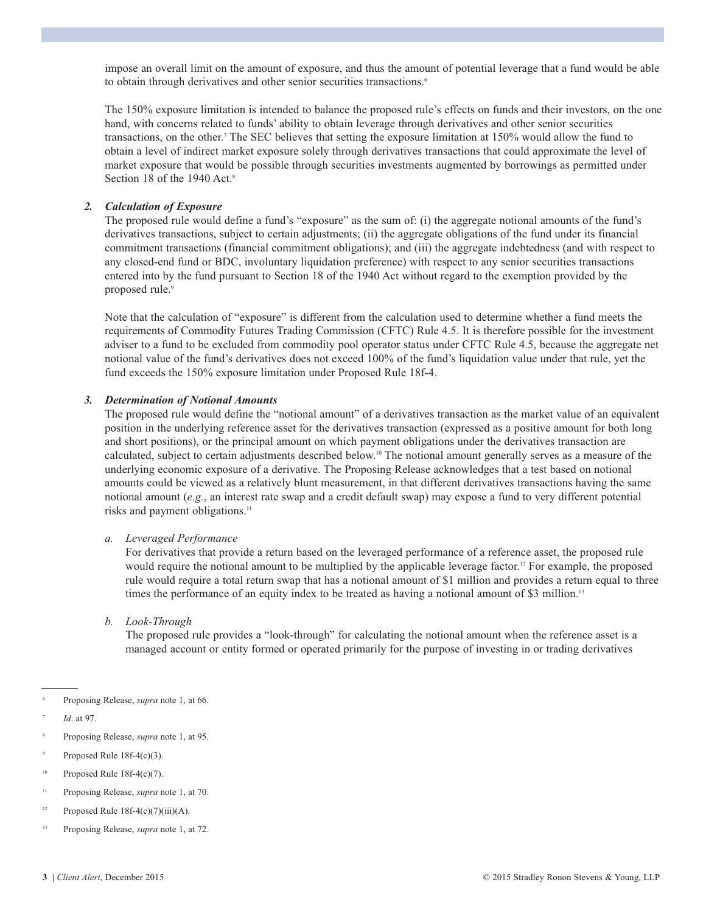impose an overall limit on the amount of exposure, and thus the amount of potential leverage that a fund would be able to obtain through derivatives and other senior securities transactions.<sup>6</sup>

The 150% exposure limitation is intended to balance the proposed rule's effects on funds and their investors, on the one hand, with concerns related to funds' ability to obtain leverage through derivatives and other senior securities transactions, on the other. <sup>7</sup> The SEC believes that setting the exposure limitation at 150% would allow the fund to obtain a level of indirect market exposure solely through derivatives transactions that could approximate the level of market exposure that would be possible through securities investments augmented by borrowings as permitted under Section 18 of the 1940 Act. 8

#### *2. Calculation of Exposure*

 The proposed rule would define a fund's "exposure" as the sum of: (i) the aggregate notional amounts of the fund's derivatives transactions, subject to certain adjustments; (ii) the aggregate obligations of the fund under its financial commitment transactions (financial commitment obligations); and (iii) the aggregate indebtedness (and with respect to any closed-end fund or BDC, involuntary liquidation preference) with respect to any senior securities transactions entered into by the fund pursuant to Section 18 of the 1940 Act without regard to the exemption provided by the proposed rule. 9

Note that the calculation of "exposure" is different from the calculation used to determine whether a fund meets the requirements of Commodity Futures Trading Commission (CFTC) Rule 4.5. It is therefore possible for the investment adviser to a fund to be excluded from commodity pool operator status under CFTC Rule 4.5, because the aggregate net notional value of the fund's derivatives does not exceed 100% of the fund's liquidation value under that rule, yet the fund exceeds the 150% exposure limitation under Proposed Rule 18f-4.

#### *3. Determination of Notional Amounts*

 The proposed rule would define the "notional amount" of a derivatives transaction as the market value of an equivalent position in the underlying reference asset for the derivatives transaction (expressed as a positive amount for both long and short positions), or the principal amount on which payment obligations under the derivatives transaction are calculated, subject to certain adjustments described below. <sup>10</sup> The notional amount generally serves as a measure of the underlying economic exposure of a derivative. The Proposing Release acknowledges that a test based on notional amounts could be viewed as a relatively blunt measurement, in that different derivatives transactions having the same notional amount (*e.g.*, an interest rate swap and a credit default swap) may expose a fund to very different potential risks and payment obligations. 11

#### *a. Leveraged Performance*

 For derivatives that provide a return based on the leveraged performance of a reference asset, the proposed rule would require the notional amount to be multiplied by the applicable leverage factor. <sup>12</sup> For example, the proposed rule would require a total return swap that has a notional amount of \$1 million and provides a return equal to three times the performance of an equity index to be treated as having a notional amount of \$3 million.<sup>13</sup>

*b. Look-Through*

 The proposed rule provides a "look-through" for calculating the notional amount when the reference asset is a managed account or entity formed or operated primarily for the purpose of investing in or trading derivatives

- 8 Proposing Release, *supra* note 1, at 95.
- Proposed Rule 18f-4(c)(3).
- $10$  Proposed Rule 18f-4(c)(7).
- 11 Proposing Release, *supra* note 1, at 70.
- $12$  Proposed Rule 18f-4(c)(7)(iii)(A).
- 13 Proposing Release, *supra* note 1, at 72.

<sup>6</sup> Proposing Release, *supra* note 1, at 66.

*Id.* at 97.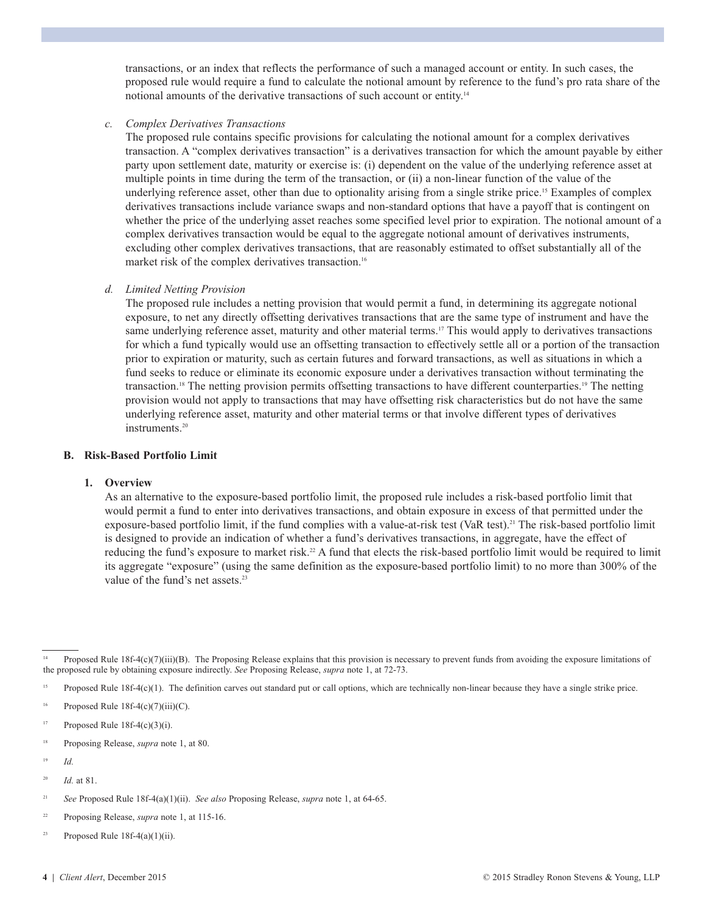transactions, or an index that reflects the performance of such a managed account or entity. In such cases, the proposed rule would require a fund to calculate the notional amount by reference to the fund's pro rata share of the notional amounts of the derivative transactions of such account or entity.<sup>14</sup>

#### *c. Complex Derivatives Transactions*

 The proposed rule contains specific provisions for calculating the notional amount for a complex derivatives transaction. A "complex derivatives transaction" is a derivatives transaction for which the amount payable by either party upon settlement date, maturity or exercise is: (i) dependent on the value of the underlying reference asset at multiple points in time during the term of the transaction, or (ii) a non-linear function of the value of the underlying reference asset, other than due to optionality arising from a single strike price. <sup>15</sup> Examples of complex derivatives transactions include variance swaps and non-standard options that have a payoff that is contingent on whether the price of the underlying asset reaches some specified level prior to expiration. The notional amount of a complex derivatives transaction would be equal to the aggregate notional amount of derivatives instruments, excluding other complex derivatives transactions, that are reasonably estimated to offset substantially all of the market risk of the complex derivatives transaction. 16

#### *d. Limited Netting Provision*

 The proposed rule includes a netting provision that would permit a fund, in determining its aggregate notional exposure, to net any directly offsetting derivatives transactions that are the same type of instrument and have the same underlying reference asset, maturity and other material terms.<sup>17</sup> This would apply to derivatives transactions for which a fund typically would use an offsetting transaction to effectively settle all or a portion of the transaction prior to expiration or maturity, such as certain futures and forward transactions, as well as situations in which a fund seeks to reduce or eliminate its economic exposure under a derivatives transaction without terminating the transaction. <sup>18</sup> The netting provision permits offsetting transactions to have different counterparties. <sup>19</sup> The netting provision would not apply to transactions that may have offsetting risk characteristics but do not have the same underlying reference asset, maturity and other material terms or that involve different types of derivatives instruments. 20

#### **B. Risk-Based Portfolio Limit**

#### **1. Overview**

 As an alternative to the exposure-based portfolio limit, the proposed rule includes a risk-based portfolio limit that would permit a fund to enter into derivatives transactions, and obtain exposure in excess of that permitted under the exposure-based portfolio limit, if the fund complies with a value-at-risk test (VaR test).<sup>21</sup> The risk-based portfolio limit is designed to provide an indication of whether a fund's derivatives transactions, in aggregate, have the effect of reducing the fund's exposure to market risk.<sup>22</sup> A fund that elects the risk-based portfolio limit would be required to limit its aggregate "exposure" (using the same definition as the exposure-based portfolio limit) to no more than 300% of the value of the fund's net assets.<sup>23</sup>

- 18 Proposing Release, *supra* note 1, at 80.
- 19 *Id.*

Proposed Rule 18f-4(c)(7)(iii)(B). The Proposing Release explains that this provision is necessary to prevent funds from avoiding the exposure limitations of the proposed rule by obtaining exposure indirectly. *See* Proposing Release, *supra* note 1, at 72-73.

<sup>&</sup>lt;sup>15</sup> Proposed Rule 18f-4(c)(1). The definition carves out standard put or call options, which are technically non-linear because they have a single strike price.

Proposed Rule  $18f-4(c)(7)(iii)(C)$ .

<sup>&</sup>lt;sup>17</sup> Proposed Rule 18f-4(c)(3)(i).

<sup>20</sup> *Id.* at 81.

<sup>21</sup> *See* Proposed Rule 18f-4(a)(1)(ii). *See also* Proposing Release, *supra* note 1, at 64-65.

<sup>22</sup> Proposing Release, *supra* note 1, at 115-16.

<sup>&</sup>lt;sup>23</sup> Proposed Rule 18f-4(a)(1)(ii).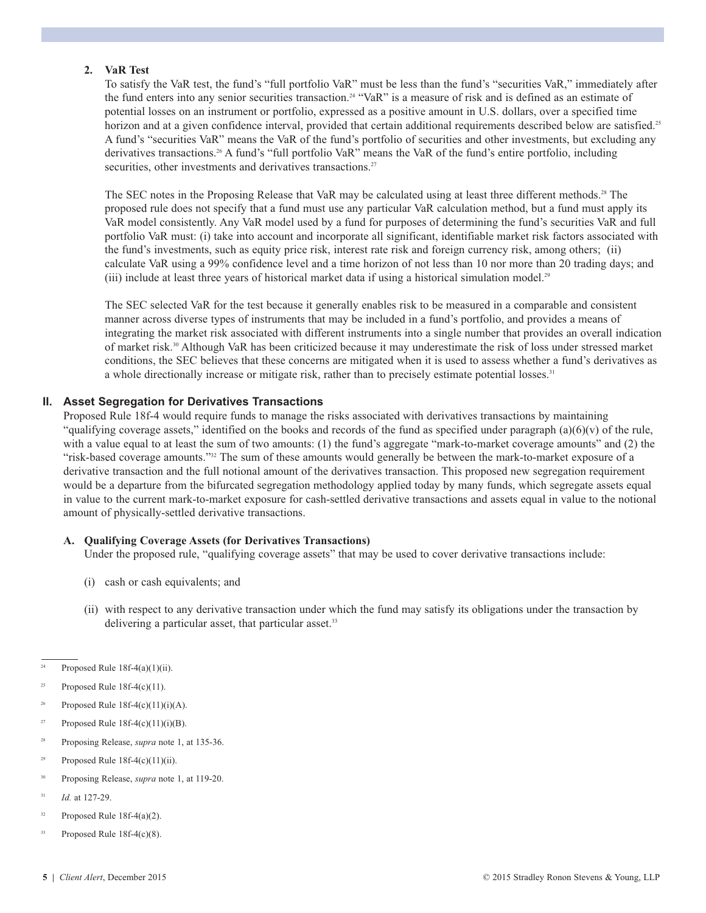#### **2. VaR Test**

 To satisfy the VaR test, the fund's "full portfolio VaR" must be less than the fund's "securities VaR," immediately after the fund enters into any senior securities transaction. <sup>24</sup> "VaR" is a measure of risk and is defined as an estimate of potential losses on an instrument or portfolio, expressed as a positive amount in U.S. dollars, over a specified time horizon and at a given confidence interval, provided that certain additional requirements described below are satisfied.<sup>25</sup> A fund's "securities VaR" means the VaR of the fund's portfolio of securities and other investments, but excluding any derivatives transactions. <sup>26</sup> A fund's "full portfolio VaR" means the VaR of the fund's entire portfolio, including securities, other investments and derivatives transactions.<sup>27</sup>

 The SEC notes in the Proposing Release that VaR may be calculated using at least three different methods. <sup>28</sup> The proposed rule does not specify that a fund must use any particular VaR calculation method, but a fund must apply its VaR model consistently. Any VaR model used by a fund for purposes of determining the fund's securities VaR and full portfolio VaR must: (i) take into account and incorporate all significant, identifiable market risk factors associated with the fund's investments, such as equity price risk, interest rate risk and foreign currency risk, among others; (ii) calculate VaR using a 99% confidence level and a time horizon of not less than 10 nor more than 20 trading days; and (iii) include at least three years of historical market data if using a historical simulation model.<sup>29</sup>

 The SEC selected VaR for the test because it generally enables risk to be measured in a comparable and consistent manner across diverse types of instruments that may be included in a fund's portfolio, and provides a means of integrating the market risk associated with different instruments into a single number that provides an overall indication of market risk. <sup>30</sup> Although VaR has been criticized because it may underestimate the risk of loss under stressed market conditions, the SEC believes that these concerns are mitigated when it is used to assess whether a fund's derivatives as a whole directionally increase or mitigate risk, rather than to precisely estimate potential losses.<sup>31</sup>

#### **II. Asset Segregation for Derivatives Transactions**

 Proposed Rule 18f-4 would require funds to manage the risks associated with derivatives transactions by maintaining "qualifying coverage assets," identified on the books and records of the fund as specified under paragraph  $(a)(6)(v)$  of the rule, with a value equal to at least the sum of two amounts: (1) the fund's aggregate "mark-to-market coverage amounts" and (2) the "risk-based coverage amounts."32 The sum of these amounts would generally be between the mark-to-market exposure of a derivative transaction and the full notional amount of the derivatives transaction. This proposed new segregation requirement would be a departure from the bifurcated segregation methodology applied today by many funds, which segregate assets equal in value to the current mark-to-market exposure for cash-settled derivative transactions and assets equal in value to the notional amount of physically-settled derivative transactions.

#### **A. Qualifying Coverage Assets (for Derivatives Transactions)**

Under the proposed rule, "qualifying coverage assets" that may be used to cover derivative transactions include:

- (i) cash or cash equivalents; and
- (ii) with respect to any derivative transaction under which the fund may satisfy its obligations under the transaction by delivering a particular asset, that particular asset.<sup>33</sup>
- $24$  Proposed Rule 18f-4(a)(1)(ii).
- <sup>25</sup> Proposed Rule 18f-4(c)(11).
- Proposed Rule 18f-4(c)(11)(i)(A).
- <sup>27</sup> Proposed Rule 18f-4(c)(11)(i)(B).
- 28 Proposing Release, *supra* note 1, at 135-36.
- <sup>29</sup> Proposed Rule 18f-4(c)(11)(ii).
- 30 Proposing Release, *supra* note 1, at 119-20.
- 31 *Id.* at 127-29.
- $32$  Proposed Rule 18f-4(a)(2).
- $33$  Proposed Rule 18f-4(c)(8).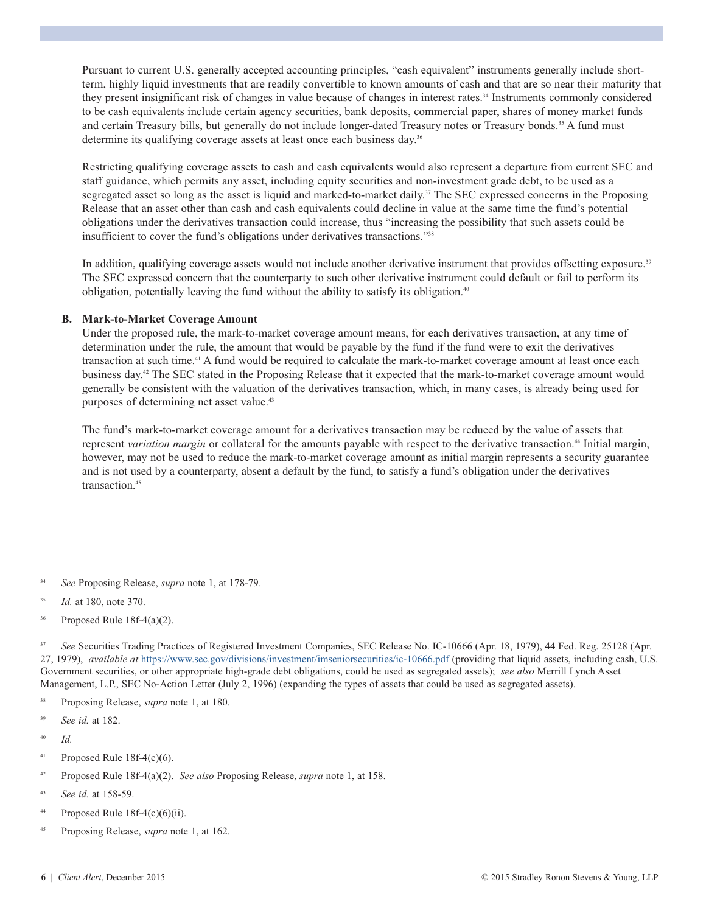Pursuant to current U.S. generally accepted accounting principles, "cash equivalent" instruments generally include shortterm, highly liquid investments that are readily convertible to known amounts of cash and that are so near their maturity that they present insignificant risk of changes in value because of changes in interest rates. <sup>34</sup> Instruments commonly considered to be cash equivalents include certain agency securities, bank deposits, commercial paper, shares of money market funds and certain Treasury bills, but generally do not include longer-dated Treasury notes or Treasury bonds. <sup>35</sup> A fund must determine its qualifying coverage assets at least once each business day. 36

 Restricting qualifying coverage assets to cash and cash equivalents would also represent a departure from current SEC and staff guidance, which permits any asset, including equity securities and non-investment grade debt, to be used as a segregated asset so long as the asset is liquid and marked-to-market daily.<sup>37</sup> The SEC expressed concerns in the Proposing Release that an asset other than cash and cash equivalents could decline in value at the same time the fund's potential obligations under the derivatives transaction could increase, thus "increasing the possibility that such assets could be insufficient to cover the fund's obligations under derivatives transactions."38

In addition, qualifying coverage assets would not include another derivative instrument that provides offsetting exposure.<sup>39</sup> The SEC expressed concern that the counterparty to such other derivative instrument could default or fail to perform its obligation, potentially leaving the fund without the ability to satisfy its obligation. 40

#### **B. Mark-to-Market Coverage Amount**

 Under the proposed rule, the mark-to-market coverage amount means, for each derivatives transaction, at any time of determination under the rule, the amount that would be payable by the fund if the fund were to exit the derivatives transaction at such time. <sup>41</sup> A fund would be required to calculate the mark-to-market coverage amount at least once each business day. <sup>42</sup> The SEC stated in the Proposing Release that it expected that the mark-to-market coverage amount would generally be consistent with the valuation of the derivatives transaction, which, in many cases, is already being used for purposes of determining net asset value. 43

The fund's mark-to-market coverage amount for a derivatives transaction may be reduced by the value of assets that represent variation margin or collateral for the amounts payable with respect to the derivative transaction.<sup>44</sup> Initial margin, however, may not be used to reduce the mark-to-market coverage amount as initial margin represents a security guarantee and is not used by a counterparty, absent a default by the fund, to satisfy a fund's obligation under the derivatives transaction. 45

 $36$  Proposed Rule 18f-4(a)(2).

<sup>37</sup> See Securities Trading Practices of Registered Investment Companies, SEC Release No. IC-10666 (Apr. 18, 1979), 44 Fed. Reg. 25128 (Apr. 27, 1979), *available at* <https://www.sec.gov/divisions/investment/imseniorsecurities/ic-10666.pdf> (providing that liquid assets, including cash, U.S. Government securities, or other appropriate high-grade debt obligations, could be used as segregated assets); *see also* Merrill Lynch Asset Management, L.P., SEC No-Action Letter (July 2, 1996) (expanding the types of assets that could be used as segregated assets).

- 38 Proposing Release, *supra* note 1, at 180.
- 39 *See id.* at 182.
- 40 *Id.*
- $41$  Proposed Rule 18f-4(c)(6).
- 42 Proposed Rule 18f-4(a)(2). *See also* Proposing Release, *supra* note 1, at 158.
- 43 *See id.* at 158-59.
- $44$  Proposed Rule 18f-4(c)(6)(ii).
- 45 Proposing Release, *supra* note 1, at 162.

<sup>34</sup> *See* Proposing Release, *supra* note 1, at 178-79.

<sup>35</sup> *Id.* at 180, note 370.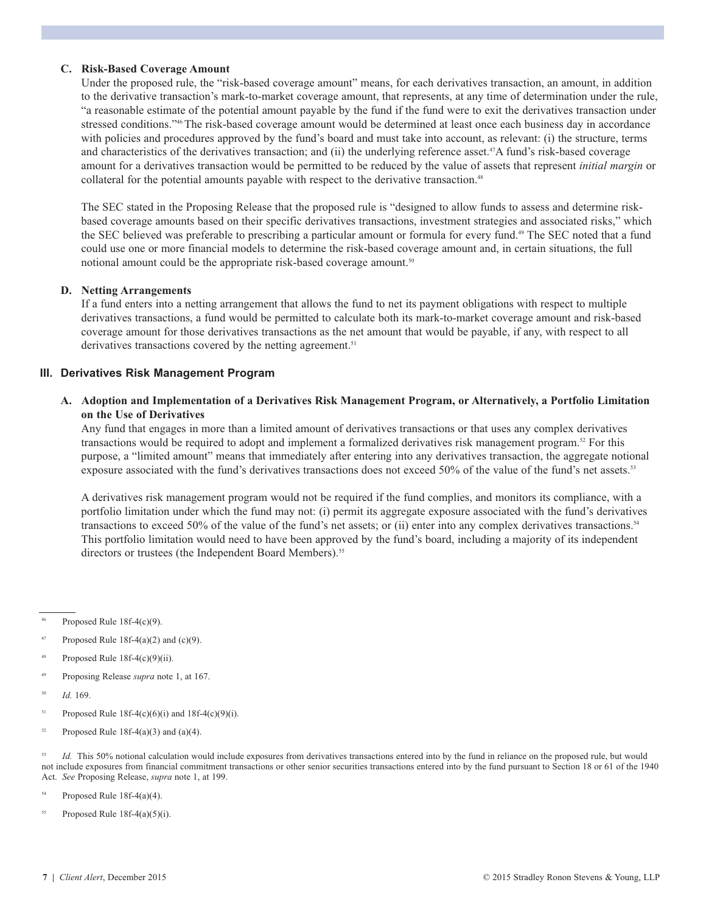#### **C. Risk-Based Coverage Amount**

 Under the proposed rule, the "risk-based coverage amount" means, for each derivatives transaction, an amount, in addition to the derivative transaction's mark-to-market coverage amount, that represents, at any time of determination under the rule, "a reasonable estimate of the potential amount payable by the fund if the fund were to exit the derivatives transaction under stressed conditions."<sup>46</sup>The risk-based coverage amount would be determined at least once each business day in accordance with policies and procedures approved by the fund's board and must take into account, as relevant: (i) the structure, terms and characteristics of the derivatives transaction; and (ii) the underlying reference asset. 47 A fund's risk-based coverage amount for a derivatives transaction would be permitted to be reduced by the value of assets that represent *initial margin* or collateral for the potential amounts payable with respect to the derivative transaction.<sup>48</sup>

The SEC stated in the Proposing Release that the proposed rule is "designed to allow funds to assess and determine riskbased coverage amounts based on their specific derivatives transactions, investment strategies and associated risks," which the SEC believed was preferable to prescribing a particular amount or formula for every fund. <sup>49</sup> The SEC noted that a fund could use one or more financial models to determine the risk-based coverage amount and, in certain situations, the full notional amount could be the appropriate risk-based coverage amount.<sup>50</sup>

#### **D. Netting Arrangements**

 If a fund enters into a netting arrangement that allows the fund to net its payment obligations with respect to multiple derivatives transactions, a fund would be permitted to calculate both its mark-to-market coverage amount and risk-based coverage amount for those derivatives transactions as the net amount that would be payable, if any, with respect to all derivatives transactions covered by the netting agreement. 51

#### **III. Derivatives Risk Management Program**

#### **A. Adoption and Implementation of a Derivatives Risk Management Program, or Alternatively, a Portfolio Limitation on the Use of Derivatives**

Any fund that engages in more than a limited amount of derivatives transactions or that uses any complex derivatives transactions would be required to adopt and implement a formalized derivatives risk management program. <sup>52</sup> For this purpose, a "limited amount" means that immediately after entering into any derivatives transaction, the aggregate notional exposure associated with the fund's derivatives transactions does not exceed 50% of the value of the fund's net assets.<sup>53</sup>

A derivatives risk management program would not be required if the fund complies, and monitors its compliance, with a portfolio limitation under which the fund may not: (i) permit its aggregate exposure associated with the fund's derivatives transactions to exceed 50% of the value of the fund's net assets; or (ii) enter into any complex derivatives transactions.<sup>54</sup> This portfolio limitation would need to have been approved by the fund's board, including a majority of its independent directors or trustees (the Independent Board Members).<sup>55</sup>

46 Proposed Rule 18f-4(c)(9).

- Proposed Rule 18f-4(a)(2) and (c)(9).
- Proposed Rule  $18f-4(c)(9)(ii)$ .
- 49 Proposing Release *supra* note 1, at 167.
- 50 *Id.* 169.
- $51$  Proposed Rule 18f-4(c)(6)(i) and 18f-4(c)(9)(i).
- <sup>52</sup> Proposed Rule 18f-4(a)(3) and (a)(4).

Id. This 50% notional calculation would include exposures from derivatives transactions entered into by the fund in reliance on the proposed rule, but would not include exposures from financial commitment transactions or other senior securities transactions entered into by the fund pursuant to Section 18 or 61 of the 1940 Act. *See* Proposing Release, *supra* note 1, at 199.

 $54$  Proposed Rule 18f-4(a)(4).

<sup>55</sup> Proposed Rule  $18f-4(a)(5)(i)$ .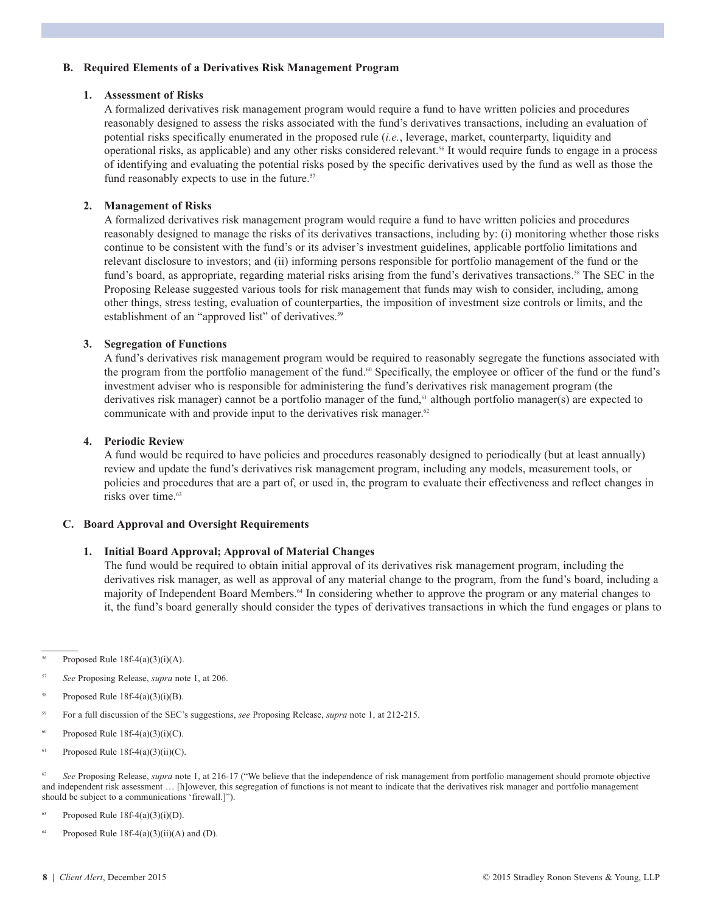#### **B. Required Elements of a Derivatives Risk Management Program**

#### **1. Assessment of Risks**

 A formalized derivatives risk management program would require a fund to have written policies and procedures reasonably designed to assess the risks associated with the fund's derivatives transactions, including an evaluation of potential risks specifically enumerated in the proposed rule (*i.e.*, leverage, market, counterparty, liquidity and operational risks, as applicable) and any other risks considered relevant. <sup>56</sup> It would require funds to engage in a process of identifying and evaluating the potential risks posed by the specific derivatives used by the fund as well as those the fund reasonably expects to use in the future.<sup>57</sup>

#### **2. Management of Risks**

 A formalized derivatives risk management program would require a fund to have written policies and procedures reasonably designed to manage the risks of its derivatives transactions, including by: (i) monitoring whether those risks continue to be consistent with the fund's or its adviser's investment guidelines, applicable portfolio limitations and relevant disclosure to investors; and (ii) informing persons responsible for portfolio management of the fund or the fund's board, as appropriate, regarding material risks arising from the fund's derivatives transactions.<sup>58</sup> The SEC in the Proposing Release suggested various tools for risk management that funds may wish to consider, including, among other things, stress testing, evaluation of counterparties, the imposition of investment size controls or limits, and the establishment of an "approved list" of derivatives.<sup>59</sup>

#### **3. Segregation of Functions**

 A fund's derivatives risk management program would be required to reasonably segregate the functions associated with the program from the portfolio management of the fund.<sup>60</sup> Specifically, the employee or officer of the fund or the fund's investment adviser who is responsible for administering the fund's derivatives risk management program (the derivatives risk manager) cannot be a portfolio manager of the fund,<sup>61</sup> although portfolio manager(s) are expected to communicate with and provide input to the derivatives risk manager.<sup>62</sup>

#### **4. Periodic Review**

 A fund would be required to have policies and procedures reasonably designed to periodically (but at least annually) review and update the fund's derivatives risk management program, including any models, measurement tools, or policies and procedures that are a part of, or used in, the program to evaluate their effectiveness and reflect changes in risks over time. 63

#### **C. Board Approval and Oversight Requirements**

#### **1. Initial Board Approval; Approval of Material Changes**

 The fund would be required to obtain initial approval of its derivatives risk management program, including the derivatives risk manager, as well as approval of any material change to the program, from the fund's board, including a majority of Independent Board Members. <sup>64</sup> In considering whether to approve the program or any material changes to it, the fund's board generally should consider the types of derivatives transactions in which the fund engages or plans to

Proposed Rule  $18f-4(a)(3)(i)(A)$ .

57 *See* Proposing Release, *supra* note 1, at 206.

 $58$  Proposed Rule 18f-4(a)(3)(i)(B).

- 59 For a full discussion of the SEC's suggestions, *see* Proposing Release, *supra* note 1, at 212-215.
- $60$  Proposed Rule 18f-4(a)(3)(i)(C).
- $61$  Proposed Rule 18f-4(a)(3)(ii)(C).

<sup>62</sup> See Proposing Release, *supra* note 1, at 216-17 ("We believe that the independence of risk management from portfolio management should promote objective and independent risk assessment … [h]owever, this segregation of functions is not meant to indicate that the derivatives risk manager and portfolio management should be subject to a communications 'firewall.]").

<sup>63</sup> Proposed Rule 18f-4(a)(3)(i)(D).

Proposed Rule  $18f-4(a)(3)(ii)(A)$  and (D).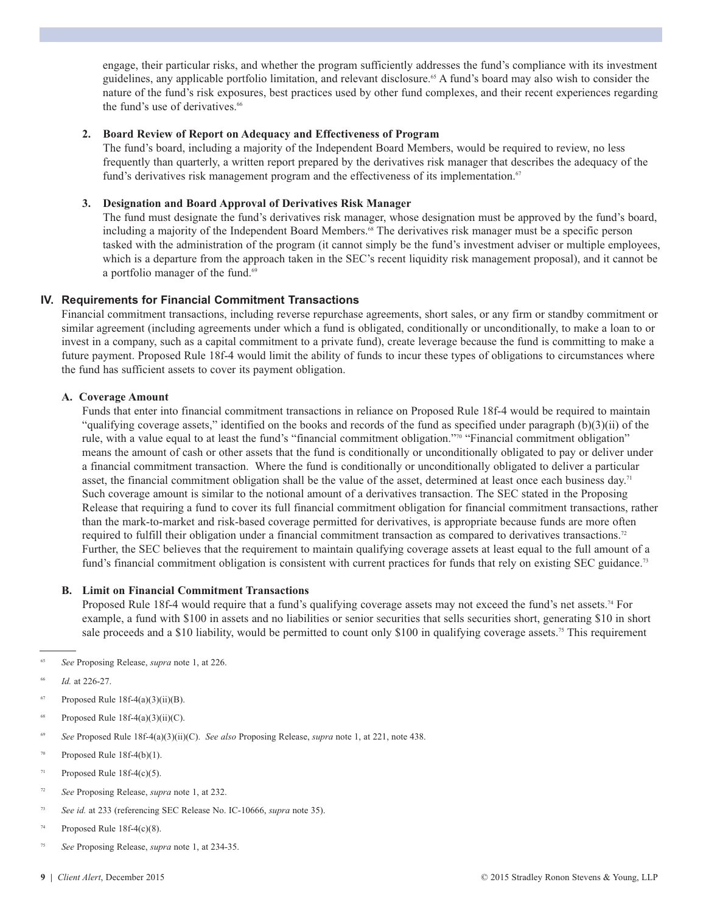engage, their particular risks, and whether the program sufficiently addresses the fund's compliance with its investment guidelines, any applicable portfolio limitation, and relevant disclosure. <sup>65</sup> A fund's board may also wish to consider the nature of the fund's risk exposures, best practices used by other fund complexes, and their recent experiences regarding the fund's use of derivatives. 66

#### **2. Board Review of Report on Adequacy and Effectiveness of Program**

 The fund's board, including a majority of the Independent Board Members, would be required to review, no less frequently than quarterly, a written report prepared by the derivatives risk manager that describes the adequacy of the fund's derivatives risk management program and the effectiveness of its implementation.<sup>67</sup>

#### **3. Designation and Board Approval of Derivatives Risk Manager**

 The fund must designate the fund's derivatives risk manager, whose designation must be approved by the fund's board, including a majority of the Independent Board Members. <sup>68</sup> The derivatives risk manager must be a specific person tasked with the administration of the program (it cannot simply be the fund's investment adviser or multiple employees, which is a departure from the approach taken in the SEC's recent liquidity risk management proposal), and it cannot be a portfolio manager of the fund.<sup>69</sup>

#### **IV. Requirements for Financial Commitment Transactions**

Financial commitment transactions, including reverse repurchase agreements, short sales, or any firm or standby commitment or similar agreement (including agreements under which a fund is obligated, conditionally or unconditionally, to make a loan to or invest in a company, such as a capital commitment to a private fund), create leverage because the fund is committing to make a future payment. Proposed Rule 18f-4 would limit the ability of funds to incur these types of obligations to circumstances where the fund has sufficient assets to cover its payment obligation.

#### **A. Coverage Amount**

 Funds that enter into financial commitment transactions in reliance on Proposed Rule 18f-4 would be required to maintain "qualifying coverage assets," identified on the books and records of the fund as specified under paragraph (b)(3)(ii) of the rule, with a value equal to at least the fund's "financial commitment obligation."70 "Financial commitment obligation" means the amount of cash or other assets that the fund is conditionally or unconditionally obligated to pay or deliver under a financial commitment transaction. Where the fund is conditionally or unconditionally obligated to deliver a particular asset, the financial commitment obligation shall be the value of the asset, determined at least once each business day.<sup>71</sup> Such coverage amount is similar to the notional amount of a derivatives transaction. The SEC stated in the Proposing Release that requiring a fund to cover its full financial commitment obligation for financial commitment transactions, rather than the mark-to-market and risk-based coverage permitted for derivatives, is appropriate because funds are more often required to fulfill their obligation under a financial commitment transaction as compared to derivatives transactions.<sup>72</sup> Further, the SEC believes that the requirement to maintain qualifying coverage assets at least equal to the full amount of a fund's financial commitment obligation is consistent with current practices for funds that rely on existing SEC guidance.<sup>73</sup>

#### **B. Limit on Financial Commitment Transactions**

Proposed Rule 18f-4 would require that a fund's qualifying coverage assets may not exceed the fund's net assets.<sup>74</sup> For example, a fund with \$100 in assets and no liabilities or senior securities that sells securities short, generating \$10 in short sale proceeds and a \$10 liability, would be permitted to count only \$100 in qualifying coverage assets.<sup>75</sup> This requirement

65 *See* Proposing Release, *supra* note 1, at 226.

- Proposed Rule  $18f-4(a)(3)(ii)(B)$ .
- Proposed Rule  $18f-4(a)(3)(ii)(C)$ .
- 69 *See* Proposed Rule 18f-4(a)(3)(ii)(C). *See also* Proposing Release, *supra* note 1, at 221, note 438.
- $70$  Proposed Rule 18f-4(b)(1).
- $71$  Proposed Rule 18f-4(c)(5).
- 72 *See* Proposing Release, *supra* note 1, at 232.
- 73 *See id.* at 233 (referencing SEC Release No. IC-10666, *supra* note 35).
- $74$  Proposed Rule 18f-4(c)(8).
- 75 *See* Proposing Release, *supra* note 1, at 234-35.
- 

*Id.* at 226-27.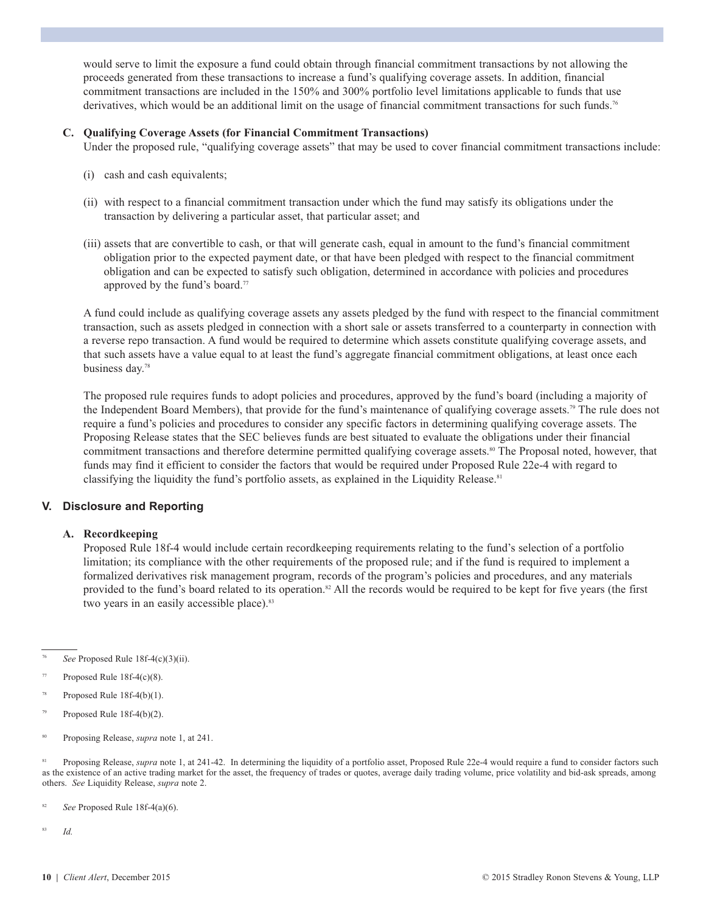would serve to limit the exposure a fund could obtain through financial commitment transactions by not allowing the proceeds generated from these transactions to increase a fund's qualifying coverage assets. In addition, financial commitment transactions are included in the 150% and 300% portfolio level limitations applicable to funds that use derivatives, which would be an additional limit on the usage of financial commitment transactions for such funds.<sup>76</sup>

#### **C. Qualifying Coverage Assets (for Financial Commitment Transactions)**

Under the proposed rule, "qualifying coverage assets" that may be used to cover financial commitment transactions include:

- (i) cash and cash equivalents;
- (ii) with respect to a financial commitment transaction under which the fund may satisfy its obligations under the transaction by delivering a particular asset, that particular asset; and
- (iii) assets that are convertible to cash, or that will generate cash, equal in amount to the fund's financial commitment obligation prior to the expected payment date, or that have been pledged with respect to the financial commitment obligation and can be expected to satisfy such obligation, determined in accordance with policies and procedures approved by the fund's board.<sup>77</sup>

 A fund could include as qualifying coverage assets any assets pledged by the fund with respect to the financial commitment transaction, such as assets pledged in connection with a short sale or assets transferred to a counterparty in connection with a reverse repo transaction. A fund would be required to determine which assets constitute qualifying coverage assets, and that such assets have a value equal to at least the fund's aggregate financial commitment obligations, at least once each business day. 78

 The proposed rule requires funds to adopt policies and procedures, approved by the fund's board (including a majority of the Independent Board Members), that provide for the fund's maintenance of qualifying coverage assets. <sup>79</sup> The rule does not require a fund's policies and procedures to consider any specific factors in determining qualifying coverage assets. The Proposing Release states that the SEC believes funds are best situated to evaluate the obligations under their financial commitment transactions and therefore determine permitted qualifying coverage assets. <sup>80</sup> The Proposal noted, however, that funds may find it efficient to consider the factors that would be required under Proposed Rule 22e-4 with regard to classifying the liquidity the fund's portfolio assets, as explained in the Liquidity Release. 81

#### **V. Disclosure and Reporting**

#### **A. Recordkeeping**

 Proposed Rule 18f-4 would include certain recordkeeping requirements relating to the fund's selection of a portfolio limitation; its compliance with the other requirements of the proposed rule; and if the fund is required to implement a formalized derivatives risk management program, records of the program's policies and procedures, and any materials provided to the fund's board related to its operation.<sup>82</sup> All the records would be required to be kept for five years (the first two years in an easily accessible place).<sup>83</sup>

83 *Id.*

See Proposed Rule 18f-4(c)(3)(ii).

Proposed Rule 18f-4(c)(8).

Proposed Rule 18f-4(b)(1).

 $^{79}$  Proposed Rule 18f-4(b)(2).

<sup>80</sup> Proposing Release, *supra* note 1, at 241.

<sup>&</sup>lt;sup>81</sup> Proposing Release, *supra* note 1, at 241-42. In determining the liquidity of a portfolio asset, Proposed Rule 22e-4 would require a fund to consider factors such as the existence of an active trading market for the asset, the frequency of trades or quotes, average daily trading volume, price volatility and bid-ask spreads, among others. *See* Liquidity Release, *supra* note 2.

<sup>82</sup> *See* Proposed Rule 18f-4(a)(6).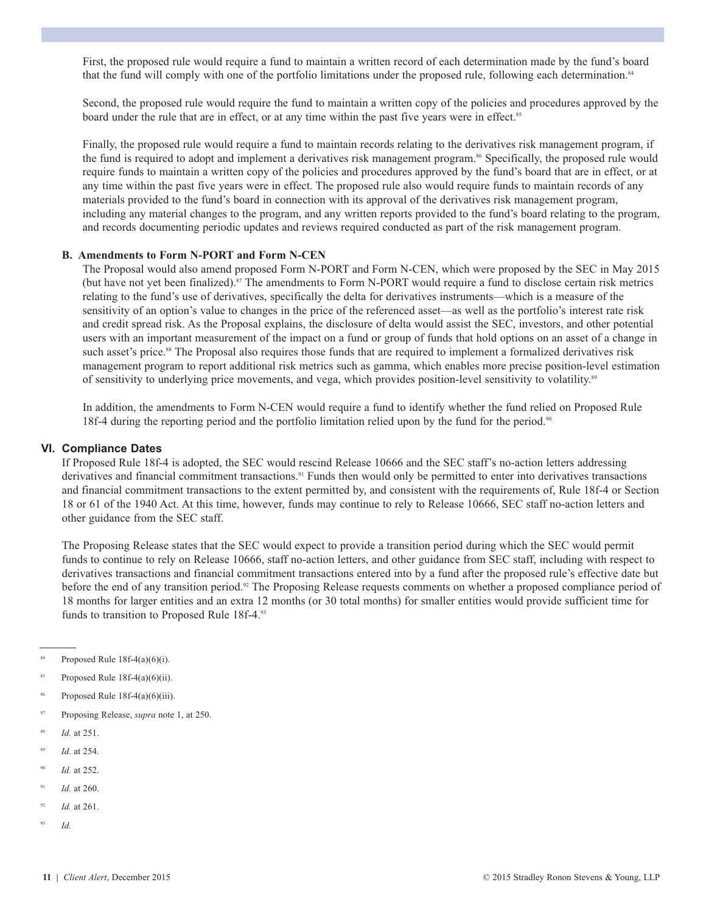First, the proposed rule would require a fund to maintain a written record of each determination made by the fund's board that the fund will comply with one of the portfolio limitations under the proposed rule, following each determination.<sup>84</sup>

Second, the proposed rule would require the fund to maintain a written copy of the policies and procedures approved by the board under the rule that are in effect, or at any time within the past five years were in effect.<sup>85</sup>

Finally, the proposed rule would require a fund to maintain records relating to the derivatives risk management program, if the fund is required to adopt and implement a derivatives risk management program. <sup>86</sup> Specifically, the proposed rule would require funds to maintain a written copy of the policies and procedures approved by the fund's board that are in effect, or at any time within the past five years were in effect. The proposed rule also would require funds to maintain records of any materials provided to the fund's board in connection with its approval of the derivatives risk management program, including any material changes to the program, and any written reports provided to the fund's board relating to the program, and records documenting periodic updates and reviews required conducted as part of the risk management program.

#### **B. Amendments to Form N-PORT and Form N-CEN**

 The Proposal would also amend proposed Form N-PORT and Form N-CEN, which were proposed by the SEC in May 2015 (but have not yet been finalized). <sup>87</sup> The amendments to Form N-PORT would require a fund to disclose certain risk metrics relating to the fund's use of derivatives, specifically the delta for derivatives instruments—which is a measure of the sensitivity of an option's value to changes in the price of the referenced asset—as well as the portfolio's interest rate risk and credit spread risk. As the Proposal explains, the disclosure of delta would assist the SEC, investors, and other potential users with an important measurement of the impact on a fund or group of funds that hold options on an asset of a change in such asset's price.<sup>88</sup> The Proposal also requires those funds that are required to implement a formalized derivatives risk management program to report additional risk metrics such as gamma, which enables more precise position-level estimation of sensitivity to underlying price movements, and vega, which provides position-level sensitivity to volatility.<sup>89</sup>

In addition, the amendments to Form N-CEN would require a fund to identify whether the fund relied on Proposed Rule 18f-4 during the reporting period and the portfolio limitation relied upon by the fund for the period.<sup>90</sup>

#### **VI. Compliance Dates**

 If Proposed Rule 18f-4 is adopted, the SEC would rescind Release 10666 and the SEC staff's no-action letters addressing derivatives and financial commitment transactions. <sup>91</sup> Funds then would only be permitted to enter into derivatives transactions and financial commitment transactions to the extent permitted by, and consistent with the requirements of, Rule 18f-4 or Section 18 or 61 of the 1940 Act. At this time, however, funds may continue to rely to Release 10666, SEC staff no-action letters and other guidance from the SEC staff.

 The Proposing Release states that the SEC would expect to provide a transition period during which the SEC would permit funds to continue to rely on Release 10666, staff no-action letters, and other guidance from SEC staff, including with respect to derivatives transactions and financial commitment transactions entered into by a fund after the proposed rule's effective date but before the end of any transition period.<sup>92</sup> The Proposing Release requests comments on whether a proposed compliance period of 18 months for larger entities and an extra 12 months (or 30 total months) for smaller entities would provide sufficient time for funds to transition to Proposed Rule 18f-4.<sup>93</sup>

- <sup>85</sup> Proposed Rule 18f-4(a)(6)(ii).
- Proposed Rule 18f-4(a)(6)(iii).
- 87 Proposing Release, *supra* note 1, at 250.
- 88 *Id.* at 251.
- 89 *Id.* at 254.
- *Id.* at 252.
- 91 *Id.* at 260.
- 92 *Id.* at 261.
- 93 *Id.*

Proposed Rule  $18f-4(a)(6)(i)$ .